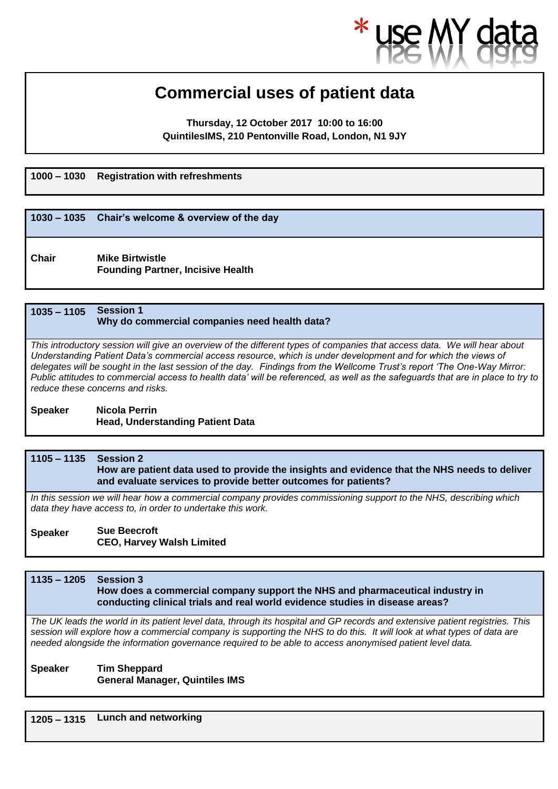### **Commercial uses of patient data**

**Thursday, 12 October 2017, 10:00 to 16:00 QuintilesIMS, 210 Pentonville Road, London, N1 9JY**

**1000 – 1030 Registration with refreshments**

# **1030 – 1035 Chair's welcome & overview of the day**

**Chair Mike Birtwistle Founding Partner, Incisive Health** 

### **1035 – 1105 Session 1 Why do commercial companies need health data?**

*This introductory session will give an overview of the different types of companies that access data. We will hear about Understanding Patient Data's commercial access resource, which is under development and for which the views of delegates will be sought in the last session of the day. Findings from the Wellcome Trust's report 'The One-Way Mirror: Public attitudes to commercial access to health data' will be referenced, as well as the safeguards that are in place to try to reduce these concerns and risks.*

**Speaker Nicola Perrin Head, Understanding Patient Data**

### **1105 – 1135 Session 2 How are patient data used to provide the insights and evidence that the NHS needs to deliver and evaluate services to provide better outcomes for patients?**

*In this session we will hear how a commercial company provides commissioning support to the NHS, describing which data they have access to, in order to undertake this work.*

### **Speaker Sue Beecroft CEO, Harvey Walsh Limited**

### **1135 – 1205 Session 3 How does a commercial company support the NHS and pharmaceutical industry in conducting clinical trials and real world evidence studies in disease areas?**

*The UK leads the world in its patient level data, through its hospital and GP records and extensive patient registries. This session will explore how a commercial company is supporting the NHS to do this. It will look at what types of data are needed alongside the information governance required to be able to access anonymised patient level data.*

- **Speaker Tim Sheppard General Manager, Quintiles IMS**
- **1205 – 1315 Lunch and networking**